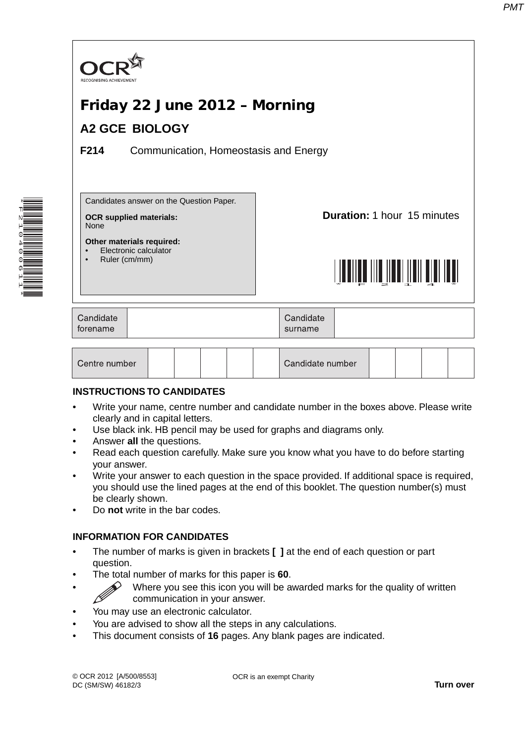

#### **INSTRUCTIONS TO CANDIDATES**

- Write your name, centre number and candidate number in the boxes above. Please write clearly and in capital letters.
- Use black ink. HB pencil may be used for graphs and diagrams only.
- Answer **all** the questions.

\*F210400611\*

- Read each question carefully. Make sure you know what you have to do before starting your answer.
- Write your answer to each question in the space provided. If additional space is required, you should use the lined pages at the end of this booklet. The question number(s) must be clearly shown.
- Do **not** write in the bar codes.

#### **INFORMATION FOR CANDIDATES**

- The number of marks is given in brackets **[ ]** at the end of each question or part question.
- The total number of marks for this paper is **60**.
- $\gg$  Where you see this icon you will be awarded marks for the quality of written communication in your answer.
- You may use an electronic calculator.
- You are advised to show all the steps in any calculations.
- This document consists of **16** pages. Any blank pages are indicated.

OCR is an exempt Charity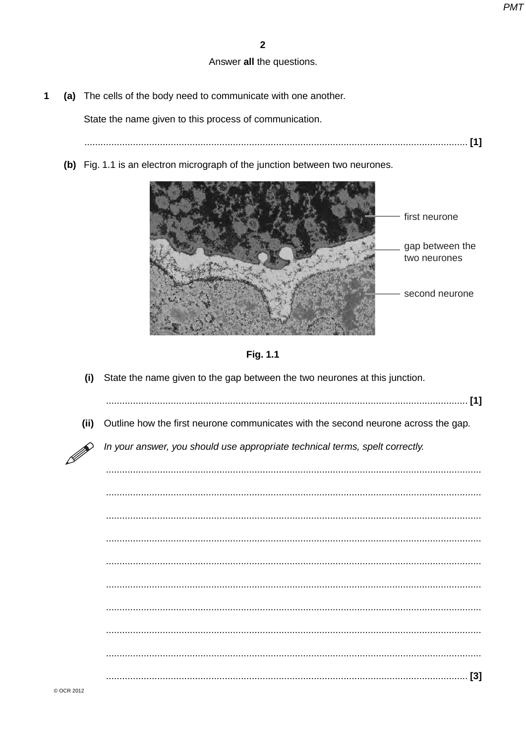$\sim$   $\sim$ 

#### Answer all the questions.

(a) The cells of the body need to communicate with one another.  $\mathbf{1}$ 

State the name given to this process of communication.

- 
- (b) Fig. 1.1 is an electron micrograph of the junction between two neurones.





(i) State the name given to the gap between the two neurones at this junction.

| (ii) | Outline how the first neurone communicates with the second neurone across the gap. |
|------|------------------------------------------------------------------------------------|
| R)   | In your answer, you should use appropriate technical terms, spelt correctly.       |
|      |                                                                                    |
|      |                                                                                    |
|      |                                                                                    |
|      |                                                                                    |
|      |                                                                                    |
|      |                                                                                    |
|      |                                                                                    |
|      |                                                                                    |
|      |                                                                                    |
|      |                                                                                    |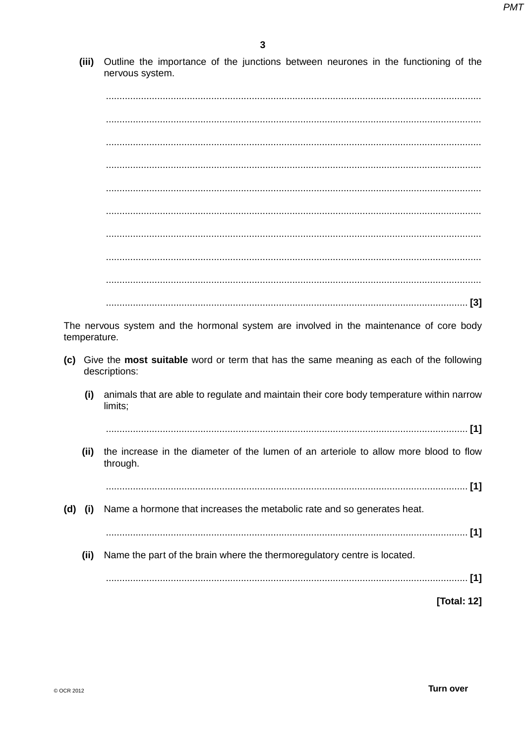$(iii)$ Outline the importance of the junctions between neurones in the functioning of the nervous system.

The nervous system and the hormonal system are involved in the maintenance of core body temperature. (c) Give the most suitable word or term that has the same meaning as each of the following descriptions: animals that are able to regulate and maintain their core body temperature within narrow  $(i)$ limits: the increase in the diameter of the lumen of an arteriole to allow more blood to flow  $(ii)$ through. Name a hormone that increases the metabolic rate and so generates heat.  $(d)$   $(i)$  $(ii)$ Name the part of the brain where the thermoregulatory centre is located. **[Total: 12]**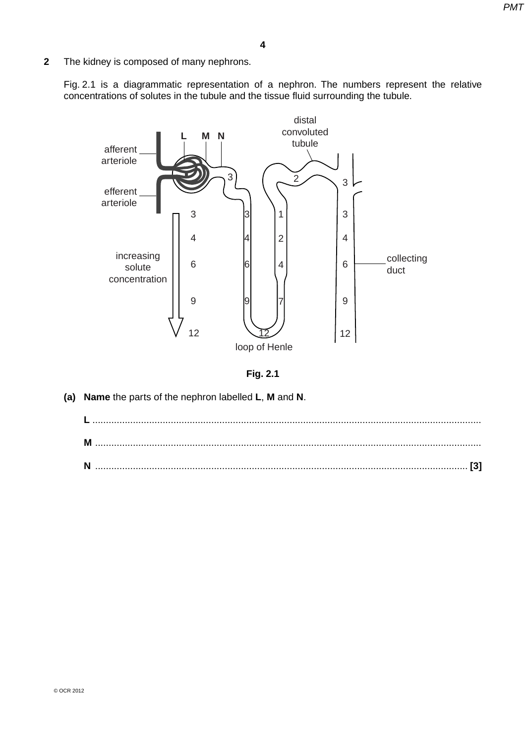- **4**
- **2** The kidney is composed of many nephrons.

Fig. 2.1 is a diagrammatic representation of a nephron. The numbers represent the relative concentrations of solutes in the tubule and the tissue fluid surrounding the tubule.



**Fig. 2.1**

 **(a) Name** the parts of the nephron labelled **L**, **M** and **N**.

| M |  |
|---|--|
| N |  |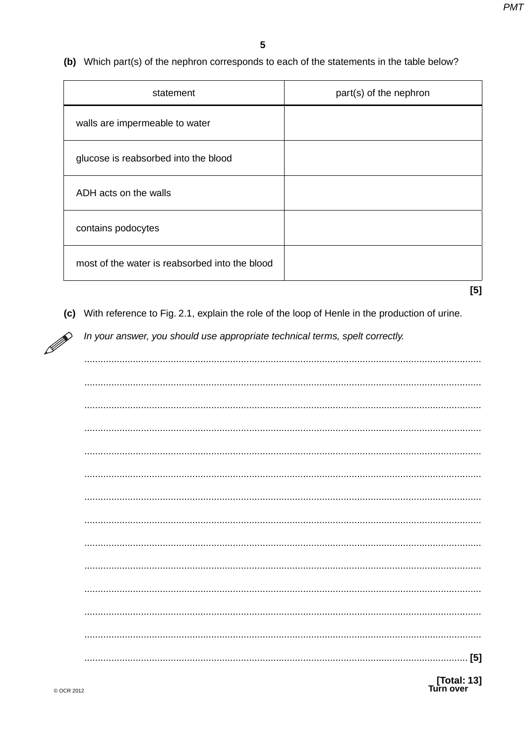(b) Which part(s) of the nephron corresponds to each of the statements in the table below?

| statement                                      | part(s) of the nephron |
|------------------------------------------------|------------------------|
| walls are impermeable to water                 |                        |
| glucose is reabsorbed into the blood           |                        |
| ADH acts on the walls                          |                        |
| contains podocytes                             |                        |
| most of the water is reabsorbed into the blood |                        |

 $[5]$ 

(c) With reference to Fig. 2.1, explain the role of the loop of Henle in the production of urine.

In your answer, you should use appropriate technical terms, spelt correctly.

[Total: 13]<br>Turn over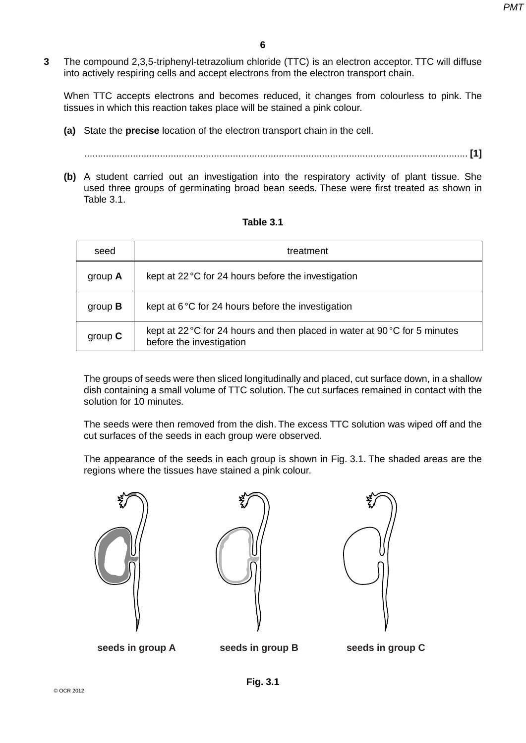**3** The compound 2,3,5-triphenyl-tetrazolium chloride (TTC) is an electron acceptor. TTC will diffuse into actively respiring cells and accept electrons from the electron transport chain.

When TTC accepts electrons and becomes reduced, it changes from colourless to pink. The tissues in which this reaction takes place will be stained a pink colour.

 **(a)** State the **precise** location of the electron transport chain in the cell.

.............................................................................................................................................. **[1]**

 **(b)** A student carried out an investigation into the respiratory activity of plant tissue. She used three groups of germinating broad bean seeds. These were first treated as shown in Table 3.1.

| seed           | treatment                                                                                                      |
|----------------|----------------------------------------------------------------------------------------------------------------|
| group $A$      | kept at 22 °C for 24 hours before the investigation                                                            |
| group $\bf{B}$ | kept at $6^{\circ}$ C for 24 hours before the investigation                                                    |
| group $C$      | kept at 22 °C for 24 hours and then placed in water at $90\degree$ C for 5 minutes<br>before the investigation |

#### **Table 3.1**

The groups of seeds were then sliced longitudinally and placed, cut surface down, in a shallow dish containing a small volume of TTC solution. The cut surfaces remained in contact with the solution for 10 minutes.

The seeds were then removed from the dish. The excess TTC solution was wiped off and the cut surfaces of the seeds in each group were observed.

The appearance of the seeds in each group is shown in Fig. 3.1. The shaded areas are the regions where the tissues have stained a pink colour.







**seeds in group A seeds in group B seeds in group C**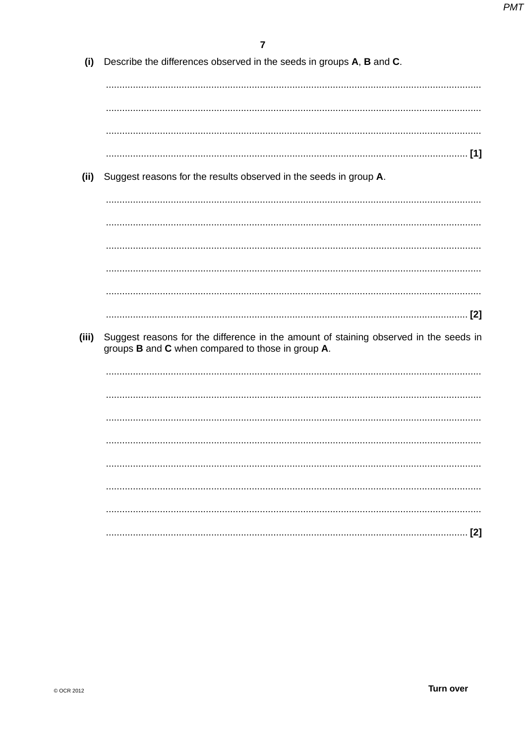| (i) Describe the differences observed in the seeds in groups $A$ , $B$ and $C$ . |  |  |
|----------------------------------------------------------------------------------|--|--|
|                                                                                  |  |  |

- 
- (ii) Suggest reasons for the results observed in the seeds in group A.

(iii) Suggest reasons for the difference in the amount of staining observed in the seeds in groups **B** and **C** when compared to those in group **A**.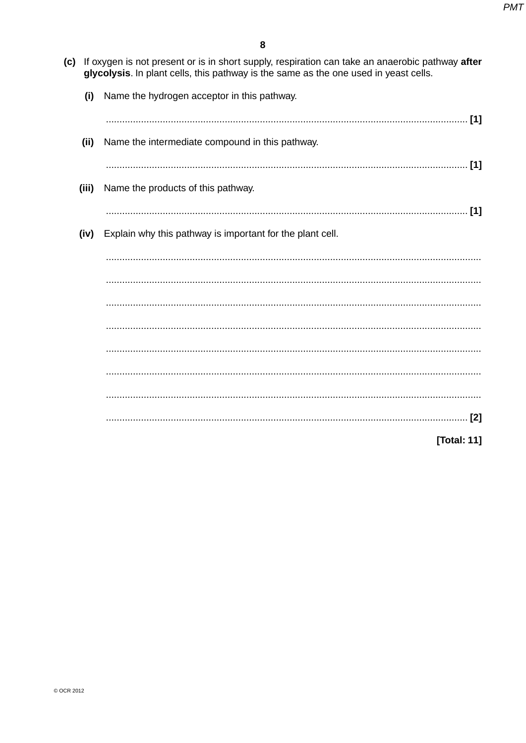(c) If oxygen is not present or is in short supply, respiration can take an anaerobic pathway after glycolysis. In plant cells, this pathway is the same as the one used in yeast cells.

| (i)   | Name the hydrogen acceptor in this pathway.               |
|-------|-----------------------------------------------------------|
|       |                                                           |
| (ii)  | Name the intermediate compound in this pathway.           |
|       | [1]                                                       |
| (iii) | Name the products of this pathway.                        |
|       | $[1]$                                                     |
| (iv)  | Explain why this pathway is important for the plant cell. |
|       |                                                           |
|       |                                                           |
|       |                                                           |
|       |                                                           |
|       |                                                           |
|       |                                                           |
|       |                                                           |
|       |                                                           |
|       | [Total: 11]                                               |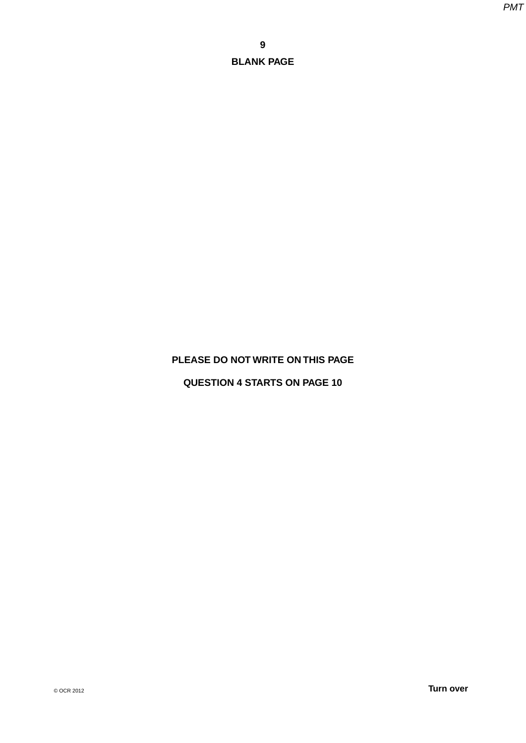## **PLEASE DO NOT WRITE ON THIS PAGE**

## **QUESTION 4 STARTS ON PAGE 10**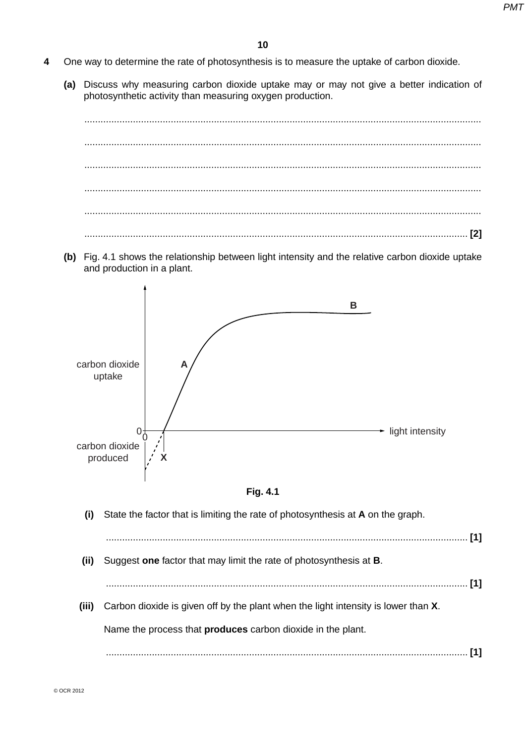- **4** One way to determine the rate of photosynthesis is to measure the uptake of carbon dioxide.
	- **(a)** Discuss why measuring carbon dioxide uptake may or may not give a better indication of photosynthetic activity than measuring oxygen production.

 ................................................................................................................................................... ................................................................................................................................................... ................................................................................................................................................... ................................................................................................................................................... ................................................................................................................................................... .............................................................................................................................................. **[2]**

 **(b)** Fig. 4.1 shows the relationship between light intensity and the relative carbon dioxide uptake and production in a plant.





 **(i)** State the factor that is limiting the rate of photosynthesis at **A** on the graph. ...................................................................................................................................... **[1] (ii)** Suggest **one** factor that may limit the rate of photosynthesis at **B**. ...................................................................................................................................... **[1] (iii)** Carbon dioxide is given off by the plant when the light intensity is lower than **X**. Name the process that **produces** carbon dioxide in the plant. ...................................................................................................................................... **[1]**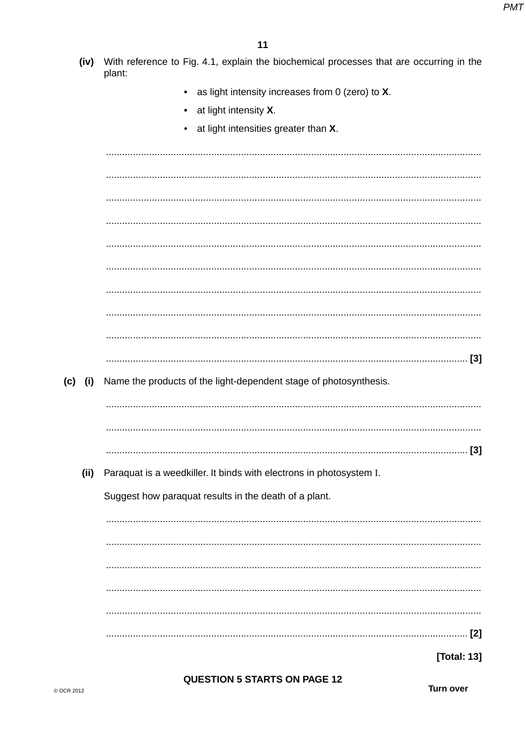- (iv) With reference to Fig. 4.1, explain the biochemical processes that are occurring in the plant:
	- as light intensity increases from  $0$  (zero) to  $X$ .  $\bullet$
	- at light intensity X.
	- $\bullet$ at light intensities greater than X.

(c) (i) Name the products of the light-dependent stage of photosynthesis. (ii) Paraquat is a weedkiller. It binds with electrons in photosystem I. Suggest how paraquat results in the death of a plant. 

**[Total: 13]** 

**QUESTION 5 STARTS ON PAGE 12** 

**Turn over**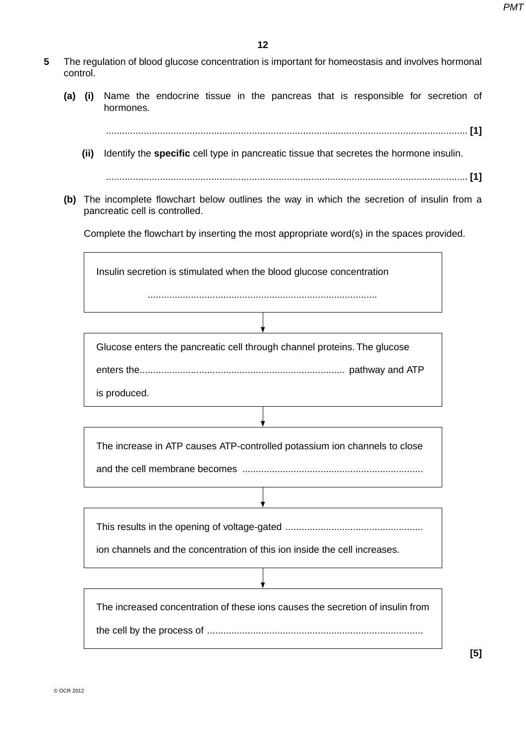- **5** The regulation of blood glucose concentration is important for homeostasis and involves hormonal control.
	- **(a) (i)** Name the endocrine tissue in the pancreas that is responsible for secretion of hormones.

...................................................................................................................................... **[1]**

 **(ii)** Identify the **specific** cell type in pancreatic tissue that secretes the hormone insulin.

...................................................................................................................................... **[1]**

 **(b)** The incomplete flowchart below outlines the way in which the secretion of insulin from a pancreatic cell is controlled.

Complete the flowchart by inserting the most appropriate word(s) in the spaces provided.

.....................................................................................

Insulin secretion is stimulated when the blood glucose concentration

Glucose enters the pancreatic cell through channel proteins. The glucose

enters the ............................................................................ pathway and ATP

is produced.

The increase in ATP causes ATP-controlled potassium ion channels to close

and the cell membrane becomes ...................................................................

This results in the opening of voltage-gated ...................................................

ion channels and the concentration of this ion inside the cell increases.

The increased concentration of these ions causes the secretion of insulin from the cell by the process of ................................................................................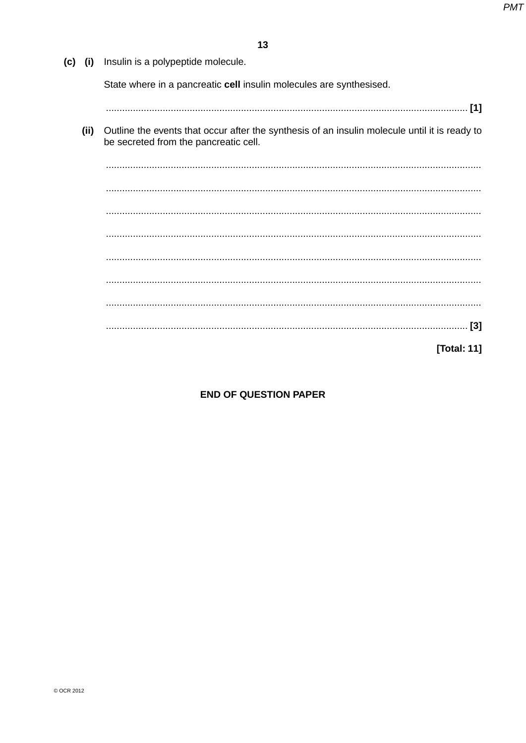| (c)<br>(i) | Insulin is a polypeptide molecule.                                                                                                     |
|------------|----------------------------------------------------------------------------------------------------------------------------------------|
|            | State where in a pancreatic cell insulin molecules are synthesised.                                                                    |
|            |                                                                                                                                        |
| (ii)       | Outline the events that occur after the synthesis of an insulin molecule until it is ready to<br>be secreted from the pancreatic cell. |
|            |                                                                                                                                        |
|            |                                                                                                                                        |
|            |                                                                                                                                        |
|            |                                                                                                                                        |
|            |                                                                                                                                        |
|            |                                                                                                                                        |
|            |                                                                                                                                        |
|            | $[3]$                                                                                                                                  |

[Total: 11]

# **END OF QUESTION PAPER**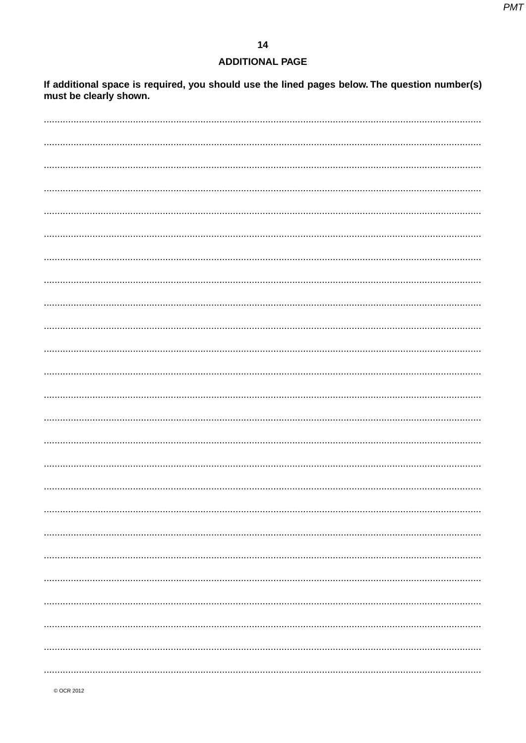## **ADDITIONAL PAGE**

If additional space is required, you should use the lined pages below. The question number(s) must be clearly shown.